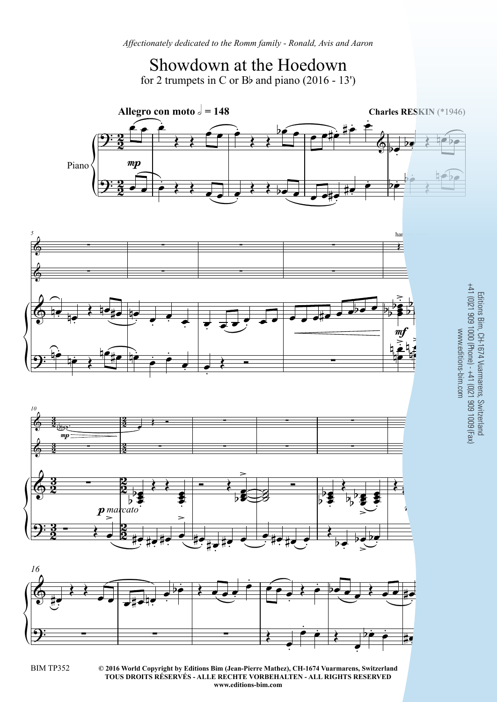## for 2 trumpets in C or Bb and piano (2016 - 13') Showdown at the Hoedown



**© 2016 World Copyright by Editions Bim (Jean-Pierre Mathez), CH-1674 Vuarmarens, SwitzerlandTOUS DROITS RÉSERVÉS - ALLE RECHTE VORBEHALTEN - ALL RIGHTS RESERVEDwww.editions-bim.com**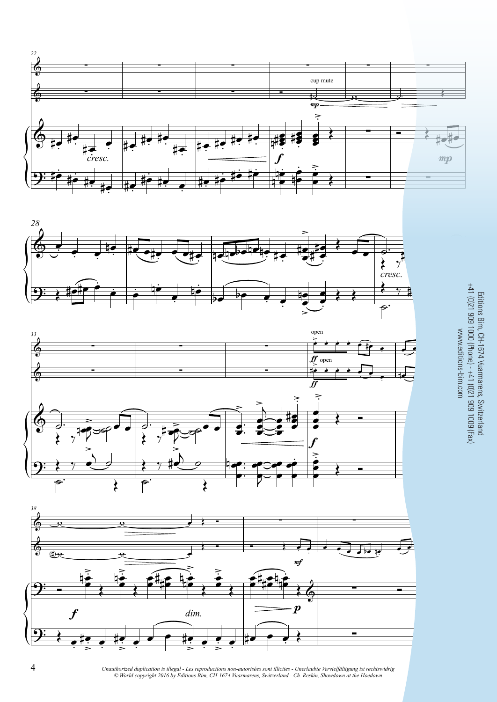







Editions Bim, CH-1674 Vuarmarens, Switzerland<br>+41 (0)21 909 1000 (Phone) - +41 (0)21 909 1009 (Fax) www.editions-bim.com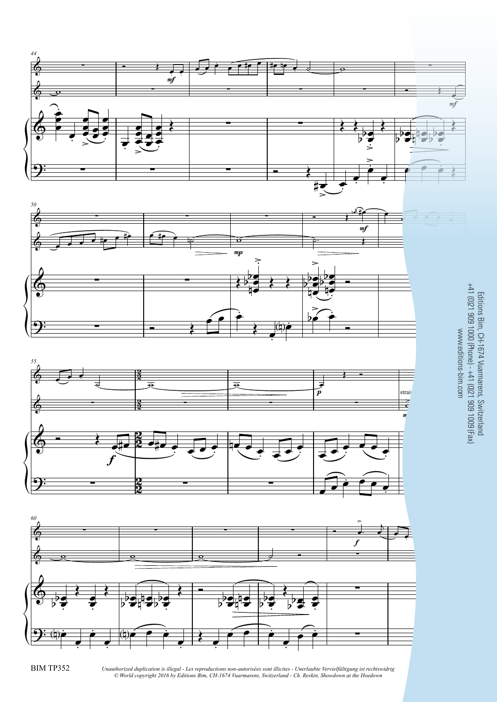







BIM TP352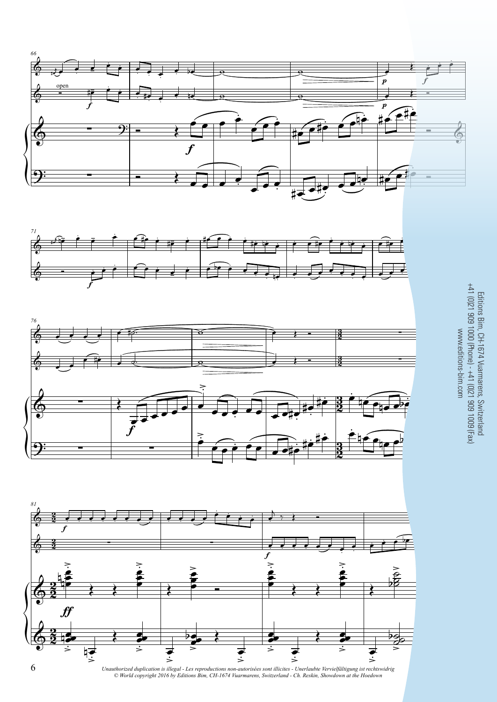







Editions Bim, CH-1674 Vuarmarens, Switzerland<br>+41 (0)21 909 1000 (Phone) - +41 (0)21 909 1009 (Fax) www.editions-bim.com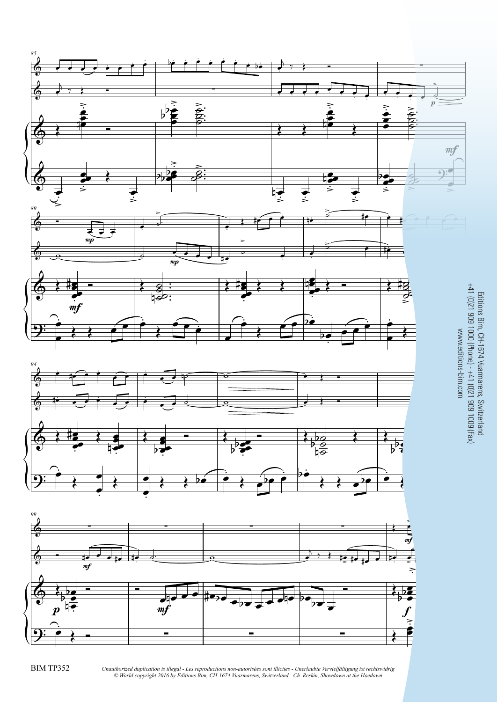

Editions Bim, CH-1674 Vuarmarens, Switzerland<br>+41 (0)21 909 1000 (Phone) - +41 (0)21 909 1009 (Fax)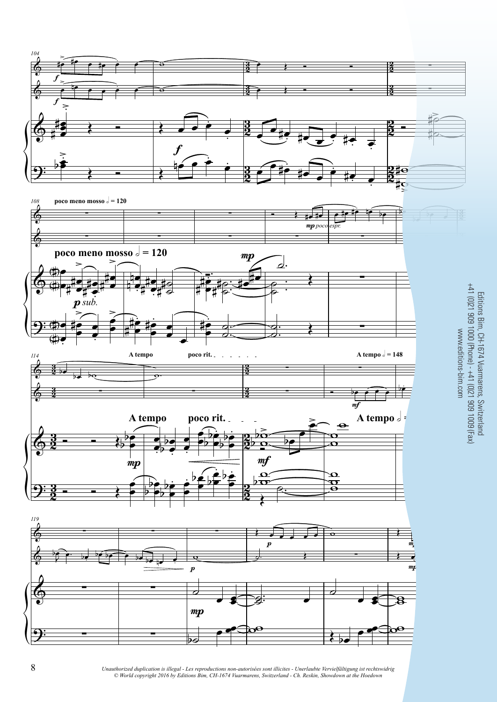

Unauthorized duplication is illegal - Les reproductions non-autorisées sont illicites - Unerlaubte Vervielfältigung ist rechtswidrig<br>© World copyright 2016 by Editions Bim, CH-1674 Vuarmarens, Switzerland - Ch. Reskin, Sho

8

104

Editions Bim, CH-1674 Vuarmarens, Switzerland<br>+41 (0)21 909 1000 (Phone) - +41 (0)21 909 1009 (Fax)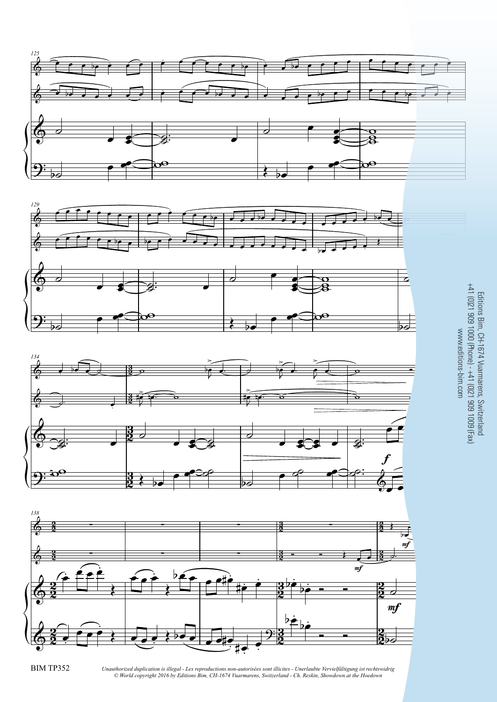







Editions Bim, CH-1674 Vuarmarens, Switzerland<br>+41 (0)21 909 1000 (Phone) - +41 (0)21 909 1009 (Fax)<br>www.editions-bim.com

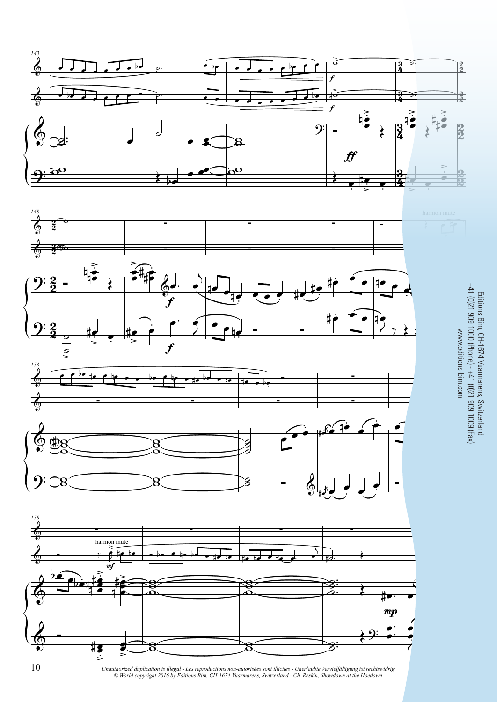







Editions Bim, CH-1674 Vuarmarens, Switzerland<br>+41 (0)21 909 1000 (Phone) - +41 (0)21 909 1009 (Fax)<br>www.editions-bim.com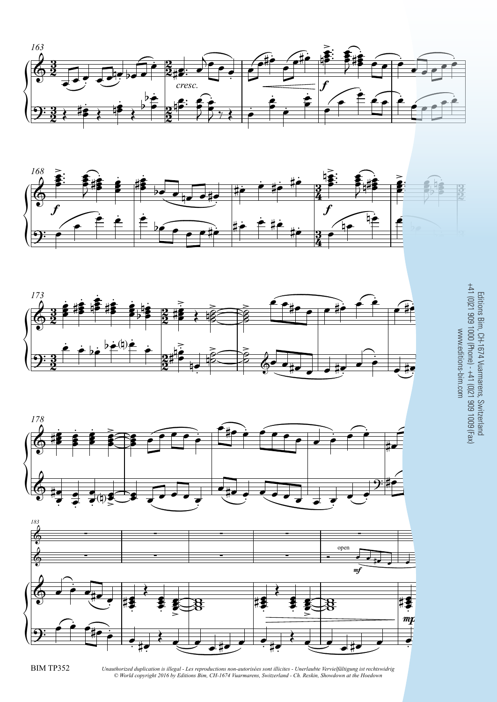











BIM TP352